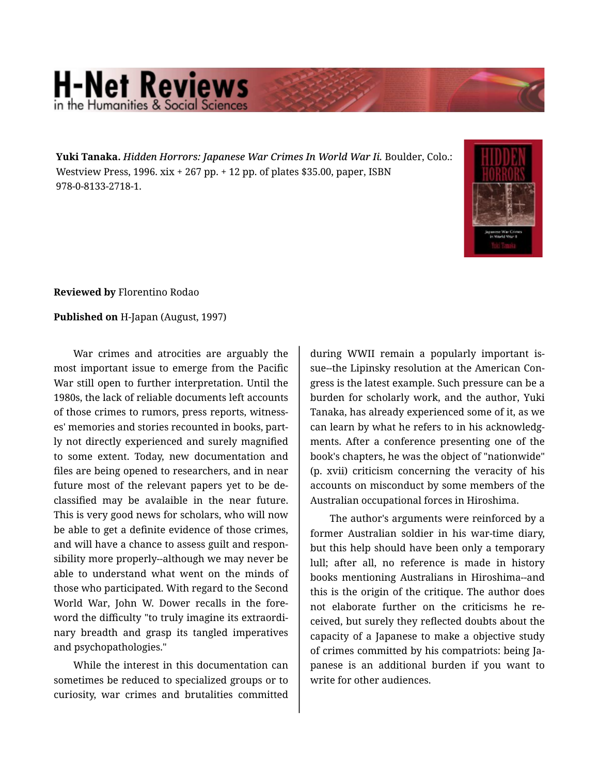## **H-Net Reviews** in the Humanities & Social Scie

**Yuki Tanaka.** *Hidden Horrors: Japanese War Crimes In World War Ii.* Boulder, Colo.: Westview Press, 1996. xix + 267 pp. + 12 pp. of plates \$35.00, paper, ISBN 978-0-8133-2718-1.



**Reviewed by** Florentino Rodao

**Published on** H-Japan (August, 1997)

War crimes and atrocities are arguably the most important issue to emerge from the Pacific War still open to further interpretation. Until the 1980s, the lack of reliable documents left accounts of those crimes to rumors, press reports, witness‐ es' memories and stories recounted in books, part‐ ly not directly experienced and surely magnified to some extent. Today, new documentation and files are being opened to researchers, and in near future most of the relevant papers yet to be declassified may be avalaible in the near future. This is very good news for scholars, who will now be able to get a definite evidence of those crimes, and will have a chance to assess guilt and respon‐ sibility more properly--although we may never be able to understand what went on the minds of those who participated. With regard to the Second World War, John W. Dower recalls in the fore‐ word the difficulty "to truly imagine its extraordi‐ nary breadth and grasp its tangled imperatives and psychopathologies."

While the interest in this documentation can sometimes be reduced to specialized groups or to curiosity, war crimes and brutalities committed

during WWII remain a popularly important is‐ sue--the Lipinsky resolution at the American Con‐ gress is the latest example. Such pressure can be a burden for scholarly work, and the author, Yuki Tanaka, has already experienced some of it, as we can learn by what he refers to in his acknowledg‐ ments. After a conference presenting one of the book's chapters, he was the object of "nationwide" (p. xvii) criticism concerning the veracity of his accounts on misconduct by some members of the Australian occupational forces in Hiroshima.

The author's arguments were reinforced by a former Australian soldier in his war-time diary, but this help should have been only a temporary lull; after all, no reference is made in history books mentioning Australians in Hiroshima--and this is the origin of the critique. The author does not elaborate further on the criticisms he re‐ ceived, but surely they reflected doubts about the capacity of a Japanese to make a objective study of crimes committed by his compatriots: being Ja‐ panese is an additional burden if you want to write for other audiences.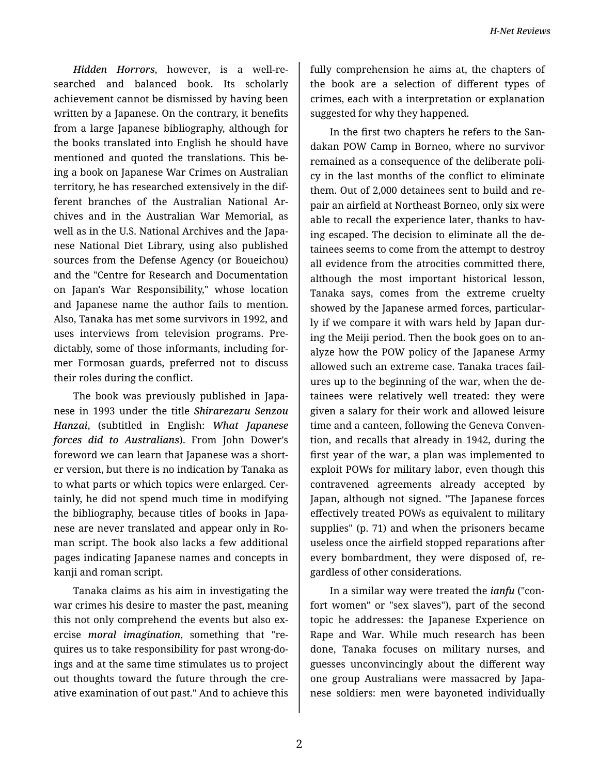*Hidden Horrors*, however, is a well-re‐ searched and balanced book. Its scholarly achievement cannot be dismissed by having been written by a Japanese. On the contrary, it benefits from a large Japanese bibliography, although for the books translated into English he should have mentioned and quoted the translations. This be‐ ing a book on Japanese War Crimes on Australian territory, he has researched extensively in the dif‐ ferent branches of the Australian National Ar‐ chives and in the Australian War Memorial, as well as in the U.S. National Archives and the Japa‐ nese National Diet Library, using also published sources from the Defense Agency (or Boueichou) and the "Centre for Research and Documentation on Japan's War Responsibility," whose location and Japanese name the author fails to mention. Also, Tanaka has met some survivors in 1992, and uses interviews from television programs. Pre‐ dictably, some of those informants, including for‐ mer Formosan guards, preferred not to discuss their roles during the conflict.

The book was previously published in Japa‐ nese in 1993 under the title *Shirarezaru Senzou Hanzai*, (subtitled in English: *What Japanese forces did to Australians*). From John Dower's foreword we can learn that Japanese was a short‐ er version, but there is no indication by Tanaka as to what parts or which topics were enlarged. Cer‐ tainly, he did not spend much time in modifying the bibliography, because titles of books in Japa‐ nese are never translated and appear only in Ro‐ man script. The book also lacks a few additional pages indicating Japanese names and concepts in kanji and roman script.

Tanaka claims as his aim in investigating the war crimes his desire to master the past, meaning this not only comprehend the events but also ex‐ ercise *moral imagination*, something that "re‐ quires us to take responsibility for past wrong-do‐ ings and at the same time stimulates us to project out thoughts toward the future through the cre‐ ative examination of out past." And to achieve this fully comprehension he aims at, the chapters of the book are a selection of different types of crimes, each with a interpretation or explanation suggested for why they happened.

In the first two chapters he refers to the San‐ dakan POW Camp in Borneo, where no survivor remained as a consequence of the deliberate poli‐ cy in the last months of the conflict to eliminate them. Out of 2,000 detainees sent to build and re‐ pair an airfield at Northeast Borneo, only six were able to recall the experience later, thanks to having escaped. The decision to eliminate all the de‐ tainees seems to come from the attempt to destroy all evidence from the atrocities committed there, although the most important historical lesson, Tanaka says, comes from the extreme cruelty showed by the Japanese armed forces, particular‐ ly if we compare it with wars held by Japan dur‐ ing the Meiji period. Then the book goes on to an‐ alyze how the POW policy of the Japanese Army allowed such an extreme case. Tanaka traces fail‐ ures up to the beginning of the war, when the de‐ tainees were relatively well treated: they were given a salary for their work and allowed leisure time and a canteen, following the Geneva Conven‐ tion, and recalls that already in 1942, during the first year of the war, a plan was implemented to exploit POWs for military labor, even though this contravened agreements already accepted by Japan, although not signed. "The Japanese forces effectively treated POWs as equivalent to military supplies" (p. 71) and when the prisoners became useless once the airfield stopped reparations after every bombardment, they were disposed of, re‐ gardless of other considerations.

In a similar way were treated the *ianfu* ("con‐ fort women" or "sex slaves"), part of the second topic he addresses: the Japanese Experience on Rape and War. While much research has been done, Tanaka focuses on military nurses, and guesses unconvincingly about the different way one group Australians were massacred by Japa‐ nese soldiers: men were bayoneted individually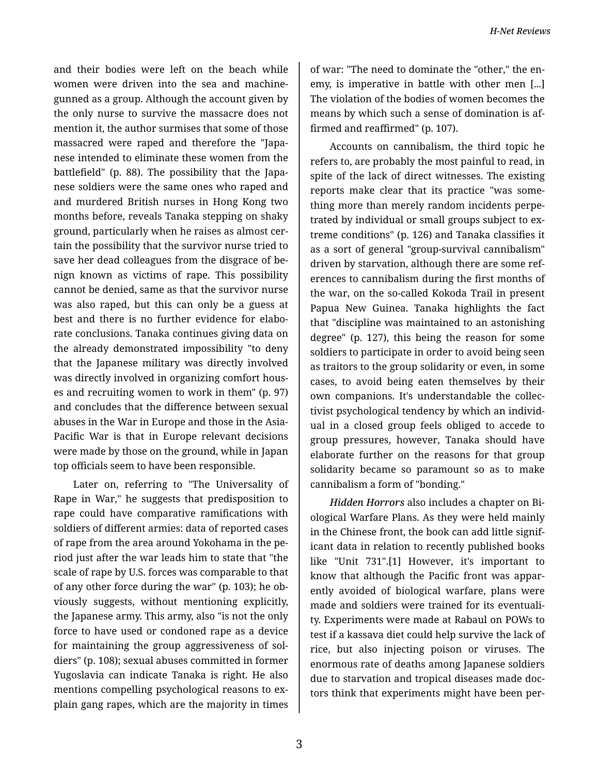and their bodies were left on the beach while women were driven into the sea and machinegunned as a group. Although the account given by the only nurse to survive the massacre does not mention it, the author surmises that some of those massacred were raped and therefore the "Japa‐ nese intended to eliminate these women from the battlefield" (p. 88). The possibility that the Japa‐ nese soldiers were the same ones who raped and and murdered British nurses in Hong Kong two months before, reveals Tanaka stepping on shaky ground, particularly when he raises as almost cer‐ tain the possibility that the survivor nurse tried to save her dead colleagues from the disgrace of be‐ nign known as victims of rape. This possibility cannot be denied, same as that the survivor nurse was also raped, but this can only be a guess at best and there is no further evidence for elabo‐ rate conclusions. Tanaka continues giving data on the already demonstrated impossibility "to deny that the Japanese military was directly involved was directly involved in organizing comfort hous‐ es and recruiting women to work in them" (p. 97) and concludes that the difference between sexual abuses in the War in Europe and those in the Asia-Pacific War is that in Europe relevant decisions were made by those on the ground, while in Japan top officials seem to have been responsible.

Later on, referring to "The Universality of Rape in War," he suggests that predisposition to rape could have comparative ramifications with soldiers of different armies: data of reported cases of rape from the area around Yokohama in the pe‐ riod just after the war leads him to state that "the scale of rape by U.S. forces was comparable to that of any other force during the war" (p. 103); he ob‐ viously suggests, without mentioning explicitly, the Japanese army. This army, also "is not the only force to have used or condoned rape as a device for maintaining the group aggressiveness of sol‐ diers" (p. 108); sexual abuses committed in former Yugoslavia can indicate Tanaka is right. He also mentions compelling psychological reasons to ex‐ plain gang rapes, which are the majority in times

of war: "The need to dominate the "other," the en‐ emy, is imperative in battle with other men [...] The violation of the bodies of women becomes the means by which such a sense of domination is af‐ firmed and reaffirmed" (p. 107).

Accounts on cannibalism, the third topic he refers to, are probably the most painful to read, in spite of the lack of direct witnesses. The existing reports make clear that its practice "was some‐ thing more than merely random incidents perpe‐ trated by individual or small groups subject to ex‐ treme conditions" (p. 126) and Tanaka classifies it as a sort of general "group-survival cannibalism" driven by starvation, although there are some ref‐ erences to cannibalism during the first months of the war, on the so-called Kokoda Trail in present Papua New Guinea. Tanaka highlights the fact that "discipline was maintained to an astonishing degree" (p. 127), this being the reason for some soldiers to participate in order to avoid being seen as traitors to the group solidarity or even, in some cases, to avoid being eaten themselves by their own companions. It's understandable the collec‐ tivist psychological tendency by which an individ‐ ual in a closed group feels obliged to accede to group pressures, however, Tanaka should have elaborate further on the reasons for that group solidarity became so paramount so as to make cannibalism a form of "bonding."

*Hidden Horrors* also includes a chapter on Bi‐ ological Warfare Plans. As they were held mainly in the Chinese front, the book can add little signif‐ icant data in relation to recently published books like "Unit 731".[1] However, it's important to know that although the Pacific front was appar‐ ently avoided of biological warfare, plans were made and soldiers were trained for its eventuali‐ ty. Experiments were made at Rabaul on POWs to test if a kassava diet could help survive the lack of rice, but also injecting poison or viruses. The enormous rate of deaths among Japanese soldiers due to starvation and tropical diseases made doc‐ tors think that experiments might have been per‐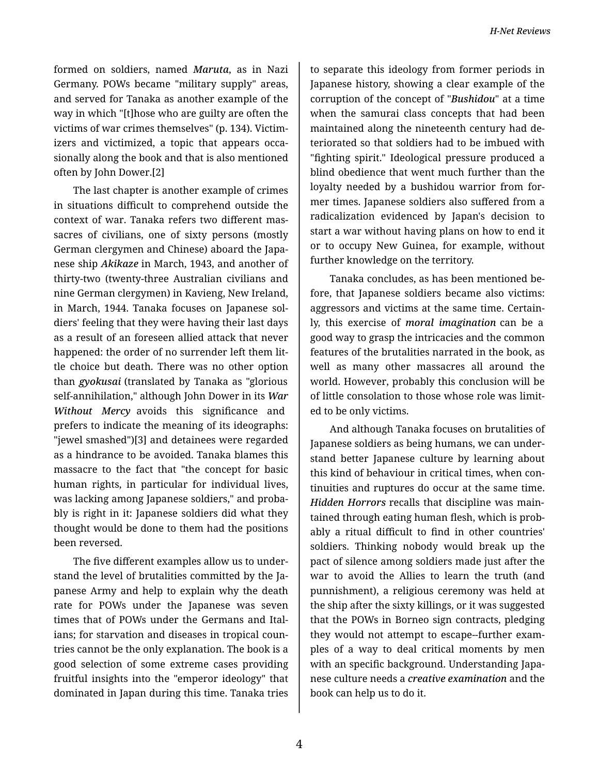formed on soldiers, named *Maruta*, as in Nazi Germany. POWs became "military supply" areas, and served for Tanaka as another example of the way in which "[t]hose who are guilty are often the victims of war crimes themselves" (p. 134). Victim‐ izers and victimized, a topic that appears occa‐ sionally along the book and that is also mentioned often by John Dower.[2]

The last chapter is another example of crimes in situations difficult to comprehend outside the context of war. Tanaka refers two different mas‐ sacres of civilians, one of sixty persons (mostly German clergymen and Chinese) aboard the Japa‐ nese ship *Akikaze* in March, 1943, and another of thirty-two (twenty-three Australian civilians and nine German clergymen) in Kavieng, New Ireland, in March, 1944. Tanaka focuses on Japanese sol‐ diers' feeling that they were having their last days as a result of an foreseen allied attack that never happened: the order of no surrender left them lit‐ tle choice but death. There was no other option than *gyokusai* (translated by Tanaka as "glorious self-annihilation," although John Dower in its *War Without Mercy* avoids this significance and prefers to indicate the meaning of its ideographs: "jewel smashed")[3] and detainees were regarded as a hindrance to be avoided. Tanaka blames this massacre to the fact that "the concept for basic human rights, in particular for individual lives, was lacking among Japanese soldiers," and proba‐ bly is right in it: Japanese soldiers did what they thought would be done to them had the positions been reversed.

The five different examples allow us to under‐ stand the level of brutalities committed by the Ja‐ panese Army and help to explain why the death rate for POWs under the Japanese was seven times that of POWs under the Germans and Ital‐ ians; for starvation and diseases in tropical coun‐ tries cannot be the only explanation. The book is a good selection of some extreme cases providing fruitful insights into the "emperor ideology" that dominated in Japan during this time. Tanaka tries

to separate this ideology from former periods in Japanese history, showing a clear example of the corruption of the concept of "*Bushidou*" at a time when the samurai class concepts that had been maintained along the nineteenth century had de‐ teriorated so that soldiers had to be imbued with "fighting spirit." Ideological pressure produced a blind obedience that went much further than the loyalty needed by a bushidou warrior from for‐ mer times. Japanese soldiers also suffered from a radicalization evidenced by Japan's decision to start a war without having plans on how to end it or to occupy New Guinea, for example, without further knowledge on the territory.

Tanaka concludes, as has been mentioned be‐ fore, that Japanese soldiers became also victims: aggressors and victims at the same time. Certain‐ ly, this exercise of *moral imagination* can be a good way to grasp the intricacies and the common features of the brutalities narrated in the book, as well as many other massacres all around the world. However, probably this conclusion will be of little consolation to those whose role was limit‐ ed to be only victims.

And although Tanaka focuses on brutalities of Japanese soldiers as being humans, we can under‐ stand better Japanese culture by learning about this kind of behaviour in critical times, when con‐ tinuities and ruptures do occur at the same time. *Hidden Horrors* recalls that discipline was main‐ tained through eating human flesh, which is prob‐ ably a ritual difficult to find in other countries' soldiers. Thinking nobody would break up the pact of silence among soldiers made just after the war to avoid the Allies to learn the truth (and punnishment), a religious ceremony was held at the ship after the sixty killings, or it was suggested that the POWs in Borneo sign contracts, pledging they would not attempt to escape--further exam‐ ples of a way to deal critical moments by men with an specific background. Understanding Japa‐ nese culture needs a *creative examination* and the book can help us to do it.